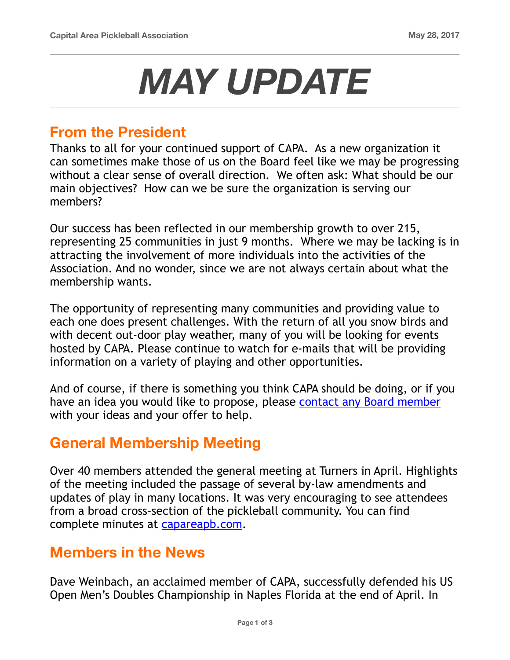# *MAY UPDATE*

#### **From the President**

Thanks to all for your continued support of CAPA. As a new organization it can sometimes make those of us on the Board feel like we may be progressing without a clear sense of overall direction. We often ask: What should be our main objectives? How can we be sure the organization is serving our members?

Our success has been reflected in our membership growth to over 215, representing 25 communities in just 9 months. Where we may be lacking is in attracting the involvement of more individuals into the activities of the Association. And no wonder, since we are not always certain about what the membership wants.

The opportunity of representing many communities and providing value to each one does present challenges. With the return of all you snow birds and with decent out-door play weather, many of you will be looking for events hosted by CAPA. Please continue to watch for e-mails that will be providing information on a variety of playing and other opportunities.

And of course, if there is something you think CAPA should be doing, or if you have an idea you would like to propose, please [contact any Board member](https://www.capareapb.com/about_us) with your ideas and your offer to help.

#### **General Membership Meeting**

Over 40 members attended the general meeting at Turners in April. Highlights of the meeting included the passage of several by-law amendments and updates of play in many locations. It was very encouraging to see attendees from a broad cross-section of the pickleball community. You can find complete minutes at [capareapb.com.](https://www.capareapb.com/capa-meeting-information)

#### **Members in the News**

Dave Weinbach, an acclaimed member of CAPA, successfully defended his US Open Men's Doubles Championship in Naples Florida at the end of April. In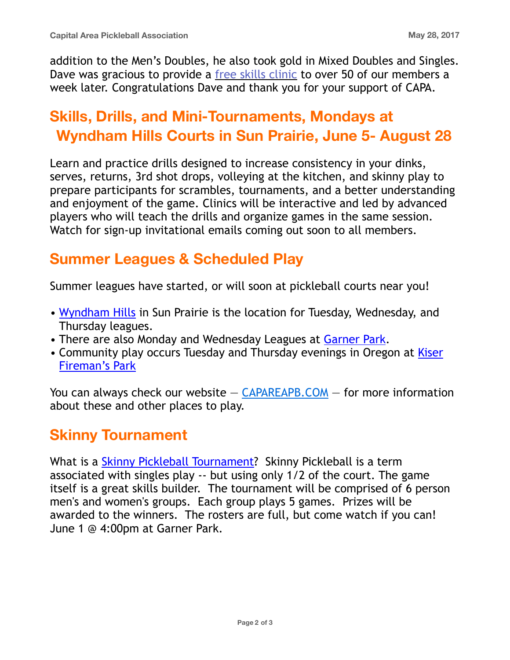addition to the Men's Doubles, he also took gold in Mixed Doubles and Singles. Dave was gracious to provide a [free skills clinic](https://www.capareapb.com/may-6-skills-clinic-photos) to over 50 of our members a week later. Congratulations Dave and thank you for your support of CAPA.

# **Skills, Drills, and Mini-Tournaments, Mondays at Wyndham Hills Courts in Sun Prairie, June 5- August 28**

Learn and practice drills designed to increase consistency in your dinks, serves, returns, 3rd shot drops, volleying at the kitchen, and skinny play to prepare participants for scrambles, tournaments, and a better understanding and enjoyment of the game. Clinics will be interactive and led by advanced players who will teach the drills and organize games in the same session. Watch for sign-up invitational emails coming out soon to all members.

## **Summer Leagues & Scheduled Play**

Summer leagues have started, or will soon at pickleball courts near you!

- [Wyndham Hills](https://www.cityofsunprairie.com/DocumentCenter/View/5139) in Sun Prairie is the location for Tuesday, Wednesday, and Thursday leagues.
- There are also Monday and Wednesday Leagues at [Garner Park](https://www.capareapb.com/leagues).
- Community play occurs Tuesday and Thursday evenings in Oregon at Kiser [Fireman's Park](https://www.mapquest.com/us/wisconsin/business-oregon/kiser-firemens-park-365088573)

You can always check our website  $-$  [CAPAREAPB.COM](http://capareapb.com/)  $-$  for more information about these and other places to play.

# **Skinny Tournament**

What is a [Skinny Pickleball Tournament](https://www.capareapb.com/tournaments)? Skinny Pickleball is a term associated with singles play -- but using only 1/2 of the court. The game itself is a great skills builder. The tournament will be comprised of 6 person men's and women's groups. Each group plays 5 games. Prizes will be awarded to the winners. The rosters are full, but come watch if you can! June 1 @ 4:00pm at Garner Park.